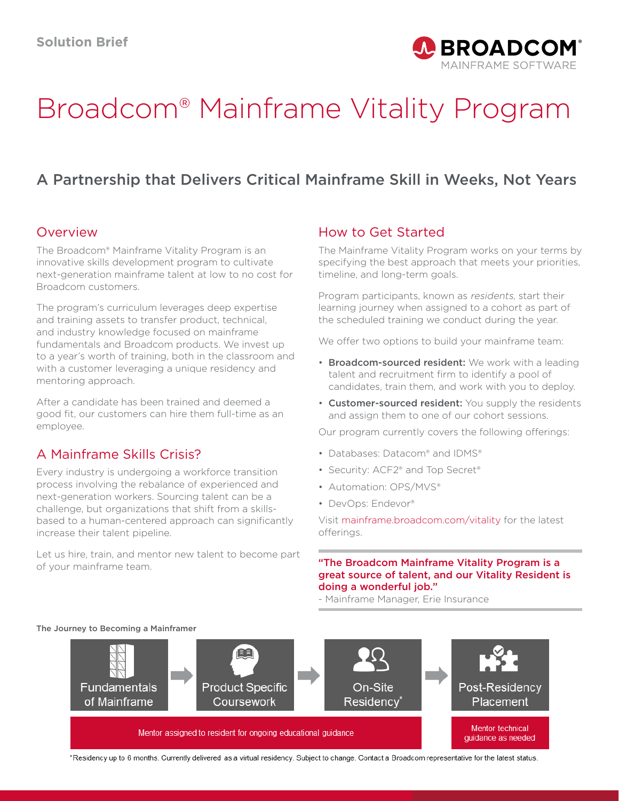

# Broadcom® Mainframe Vitality Program

# A Partnership that Delivers Critical Mainframe Skill in Weeks, Not Years

#### Overview

The Broadcom® Mainframe Vitality Program is an innovative skills development program to cultivate next-generation mainframe talent at low to no cost for Broadcom customers.

The program's curriculum leverages deep expertise and training assets to transfer product, technical, and industry knowledge focused on mainframe fundamentals and Broadcom products. We invest up to a year's worth of training, both in the classroom and with a customer leveraging a unique residency and mentoring approach.

After a candidate has been trained and deemed a good fit, our customers can hire them full-time as an employee.

## A Mainframe Skills Crisis?

Every industry is undergoing a workforce transition process involving the rebalance of experienced and next-generation workers. Sourcing talent can be a challenge, but organizations that shift from a skillsbased to a human-centered approach can significantly increase their talent pipeline.

Let us hire, train, and mentor new talent to become part of your mainframe team.

## How to Get Started

The Mainframe Vitality Program works on your terms by specifying the best approach that meets your priorities, timeline, and long-term goals.

Program participants, known as residents, start their learning journey when assigned to a cohort as part of the scheduled training we conduct during the year.

We offer two options to build your mainframe team:

- Broadcom-sourced resident: We work with a leading talent and recruitment firm to identify a pool of candidates, train them, and work with you to deploy.
- Customer-sourced resident: You supply the residents and assign them to one of our cohort sessions.

Our program currently covers the following offerings:

- Databases: Datacom® and IDMS®
- Security: ACF2® and Top Secret®
- Automation: OPS/MVS®
- DevOps: Endevor®

Visit [mainframe.broadcom.com/vitality](http://mainframe.broadcom.com/vitality) for the latest offerings.

#### "The Broadcom Mainframe Vitality Program is a great source of talent, and our Vitality Resident is doing a wonderful job."

- Mainframe Manager, Erie Insurance



The Journey to Becoming a Mainframer

\*Residency up to 6 months. Currently delivered as a virtual residency. Subject to change. Contact a Broadcom representative for the latest status.